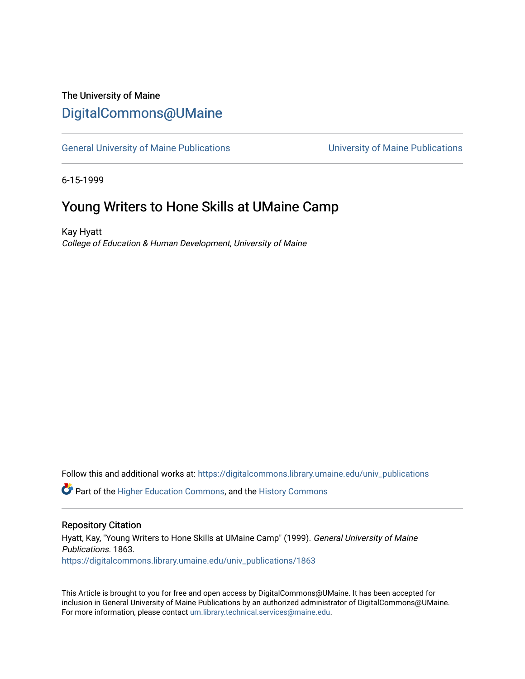## The University of Maine [DigitalCommons@UMaine](https://digitalcommons.library.umaine.edu/)

[General University of Maine Publications](https://digitalcommons.library.umaine.edu/univ_publications) [University of Maine Publications](https://digitalcommons.library.umaine.edu/umaine_publications) 

6-15-1999

## Young Writers to Hone Skills at UMaine Camp

Kay Hyatt College of Education & Human Development, University of Maine

Follow this and additional works at: [https://digitalcommons.library.umaine.edu/univ\\_publications](https://digitalcommons.library.umaine.edu/univ_publications?utm_source=digitalcommons.library.umaine.edu%2Funiv_publications%2F1863&utm_medium=PDF&utm_campaign=PDFCoverPages) 

**C** Part of the [Higher Education Commons,](http://network.bepress.com/hgg/discipline/1245?utm_source=digitalcommons.library.umaine.edu%2Funiv_publications%2F1863&utm_medium=PDF&utm_campaign=PDFCoverPages) and the [History Commons](http://network.bepress.com/hgg/discipline/489?utm_source=digitalcommons.library.umaine.edu%2Funiv_publications%2F1863&utm_medium=PDF&utm_campaign=PDFCoverPages)

#### Repository Citation

Hyatt, Kay, "Young Writers to Hone Skills at UMaine Camp" (1999). General University of Maine Publications. 1863. [https://digitalcommons.library.umaine.edu/univ\\_publications/1863](https://digitalcommons.library.umaine.edu/univ_publications/1863?utm_source=digitalcommons.library.umaine.edu%2Funiv_publications%2F1863&utm_medium=PDF&utm_campaign=PDFCoverPages)

This Article is brought to you for free and open access by DigitalCommons@UMaine. It has been accepted for inclusion in General University of Maine Publications by an authorized administrator of DigitalCommons@UMaine. For more information, please contact [um.library.technical.services@maine.edu](mailto:um.library.technical.services@maine.edu).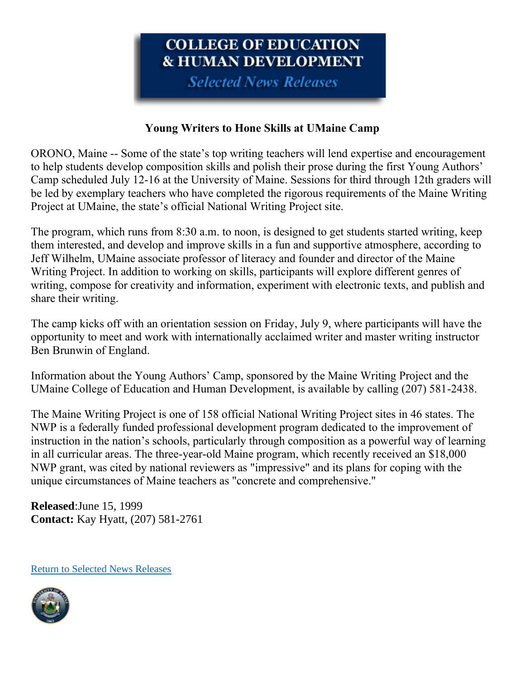# COLLEGE OF EDUCATION **& HUMAN DEVELOPMENT**

**Selected News Releases** 

### **Young Writers to Hone Skills at UMaine Camp**

ORONO, Maine -- Some of the state's top writing teachers will lend expertise and encouragement to help students develop composition skills and polish their prose during the first Young Authors' Camp scheduled July 12-16 at the University of Maine. Sessions for third through 12th graders will be led by exemplary teachers who have completed the rigorous requirements of the Maine Writing Project at UMaine, the state's official National Writing Project site.

The program, which runs from 8:30 a.m. to noon, is designed to get students started writing, keep them interested, and develop and improve skills in a fun and supportive atmosphere, according to Jeff Wilhelm, UMaine associate professor of literacy and founder and director of the Maine Writing Project. In addition to working on skills, participants will explore different genres of writing, compose for creativity and information, experiment with electronic texts, and publish and share their writing.

The camp kicks off with an orientation session on Friday, July 9, where participants will have the opportunity to meet and work with internationally acclaimed writer and master writing instructor Ben Brunwin of England.

Information about the Young Authors' Camp, sponsored by the Maine Writing Project and the UMaine College of Education and Human Development, is available by calling (207) 581-2438.

The Maine Writing Project is one of 158 official National Writing Project sites in 46 states. The NWP is a federally funded professional development program dedicated to the improvement of instruction in the nation's schools, particularly through composition as a powerful way of learning in all curricular areas. The three-year-old Maine program, which recently received an \$18,000 NWP grant, was cited by national reviewers as "impressive" and its plans for coping with the unique circumstances of Maine teachers as "concrete and comprehensive."

**Released**:June 15, 1999 **Contact:** Kay Hyatt, (207) 581-2761

[Return to Selected News Releases](https://web.archive.org/web/19991114200527/http:/www.ume.maine.edu/~cofed/happen/selectnews.htm)